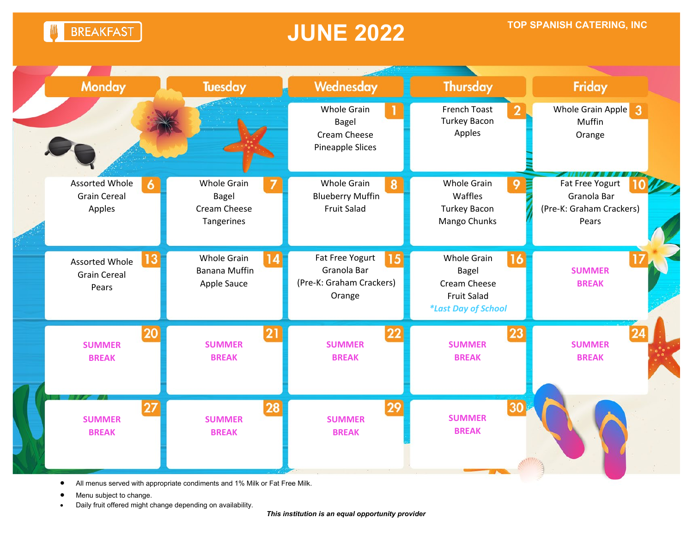**BREAKFAST** 

### **JUNE 2022**



• All menus served with appropriate condiments and 1% Milk or Fat Free Milk.

Menu subject to change.

• Daily fruit offered might change depending on availability.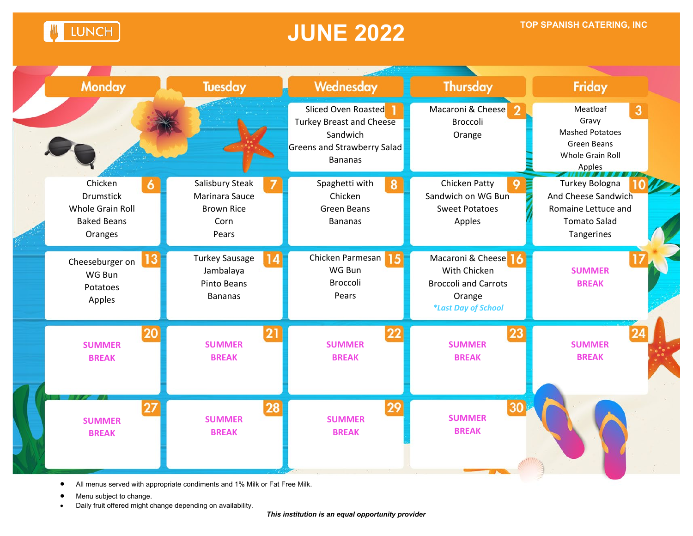**LUNCH** 

### **JUNE 2022 TOP SPANISH CATERING, INC**



- All menus served with appropriate condiments and 1% Milk or Fat Free Milk.
- Menu subject to change.
- Daily fruit offered might change depending on availability.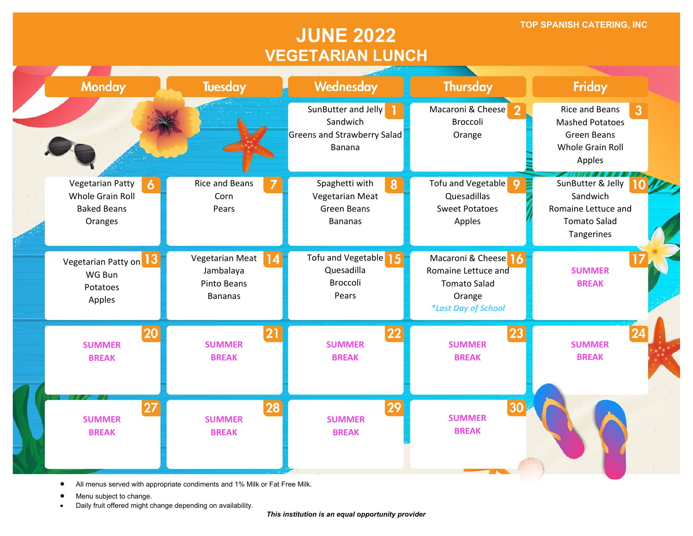**TOP SPANISH CATERING, INC**

#### **JUNE 2022 VEGETARIAN LUNCH**



• All menus served with appropriate condiments and 1% Milk or Fat Free Milk.

Menu subject to change.

• Daily fruit offered might change depending on availability.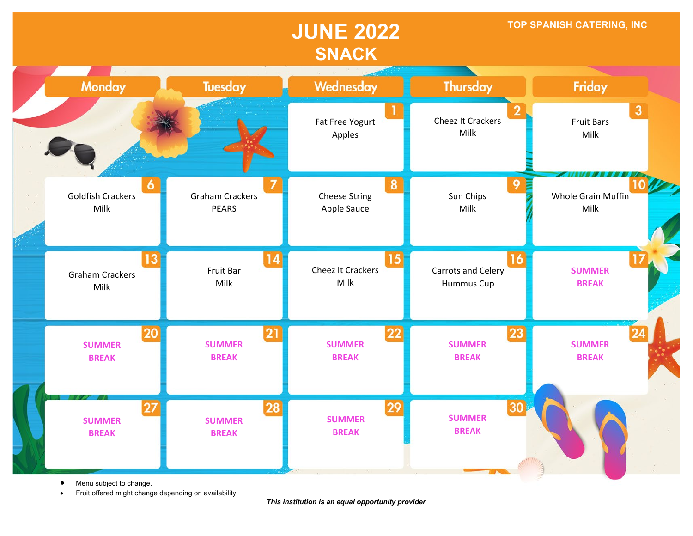### **JUNE 2022 SNACK**

**TOP SPANISH CATERING, INC**



• Menu subject to change.

• Fruit offered might change depending on availability.

*This institution is an equal opportunity provider*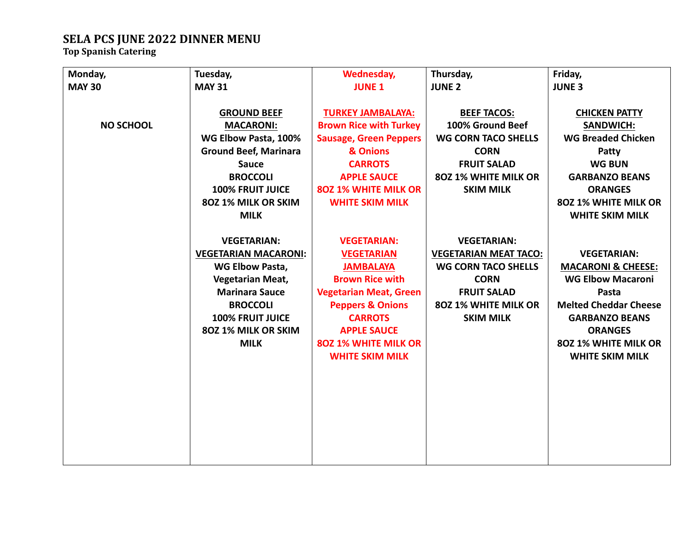# **SELA PCS JUNE 2022 DINNER MENU Top Spanish Catering**

| Monday,          | Tuesday,                     | Wednesday,                    | Thursday,                    | Friday,                       |
|------------------|------------------------------|-------------------------------|------------------------------|-------------------------------|
| <b>MAY 30</b>    | <b>MAY 31</b>                | <b>JUNE 1</b>                 | <b>JUNE 2</b>                | <b>JUNE 3</b>                 |
|                  |                              |                               |                              |                               |
|                  | <b>GROUND BEEF</b>           | <b>TURKEY JAMBALAYA:</b>      | <b>BEEF TACOS:</b>           | <b>CHICKEN PATTY</b>          |
| <b>NO SCHOOL</b> | <b>MACARONI:</b>             | <b>Brown Rice with Turkey</b> | 100% Ground Beef             | <b>SANDWICH:</b>              |
|                  | WG Elbow Pasta, 100%         | <b>Sausage, Green Peppers</b> | <b>WG CORN TACO SHELLS</b>   | <b>WG Breaded Chicken</b>     |
|                  | <b>Ground Beef, Marinara</b> | & Onions                      | <b>CORN</b>                  | Patty                         |
|                  | <b>Sauce</b>                 | <b>CARROTS</b>                | <b>FRUIT SALAD</b>           | <b>WG BUN</b>                 |
|                  | <b>BROCCOLI</b>              | <b>APPLE SAUCE</b>            | 80Z 1% WHITE MILK OR         | <b>GARBANZO BEANS</b>         |
|                  | <b>100% FRUIT JUICE</b>      | <b>802 1% WHITE MILK OR</b>   | <b>SKIM MILK</b>             | <b>ORANGES</b>                |
|                  | 80Z 1% MILK OR SKIM          | <b>WHITE SKIM MILK</b>        |                              | 80Z 1% WHITE MILK OR          |
|                  | <b>MILK</b>                  |                               |                              | <b>WHITE SKIM MILK</b>        |
|                  |                              |                               |                              |                               |
|                  | <b>VEGETARIAN:</b>           | <b>VEGETARIAN:</b>            | <b>VEGETARIAN:</b>           |                               |
|                  | <b>VEGETARIAN MACARONI:</b>  | <b>VEGETARIAN</b>             | <b>VEGETARIAN MEAT TACO:</b> | <b>VEGETARIAN:</b>            |
|                  | <b>WG Elbow Pasta,</b>       | <b>JAMBALAYA</b>              | <b>WG CORN TACO SHELLS</b>   | <b>MACARONI &amp; CHEESE:</b> |
|                  | <b>Vegetarian Meat,</b>      | <b>Brown Rice with</b>        | <b>CORN</b>                  | <b>WG Elbow Macaroni</b>      |
|                  | <b>Marinara Sauce</b>        | <b>Vegetarian Meat, Green</b> | <b>FRUIT SALAD</b>           | Pasta                         |
|                  | <b>BROCCOLI</b>              | <b>Peppers &amp; Onions</b>   | 802 1% WHITE MILK OR         | <b>Melted Cheddar Cheese</b>  |
|                  | <b>100% FRUIT JUICE</b>      | <b>CARROTS</b>                | <b>SKIM MILK</b>             | <b>GARBANZO BEANS</b>         |
|                  | 80Z 1% MILK OR SKIM          | <b>APPLE SAUCE</b>            |                              | <b>ORANGES</b>                |
|                  | <b>MILK</b>                  | <b>802 1% WHITE MILK OR</b>   |                              | 80Z 1% WHITE MILK OR          |
|                  |                              | <b>WHITE SKIM MILK</b>        |                              | <b>WHITE SKIM MILK</b>        |
|                  |                              |                               |                              |                               |
|                  |                              |                               |                              |                               |
|                  |                              |                               |                              |                               |
|                  |                              |                               |                              |                               |
|                  |                              |                               |                              |                               |
|                  |                              |                               |                              |                               |
|                  |                              |                               |                              |                               |
|                  |                              |                               |                              |                               |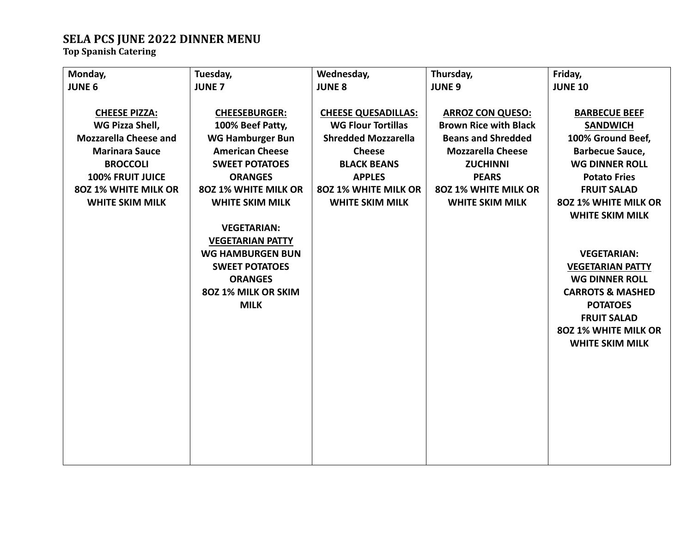# **SELA PCS JUNE 2022 DINNER MENU Top Spanish Catering**

| Monday,                      | Tuesday,                | Wednesday,                 | Thursday,                    | Friday,                     |
|------------------------------|-------------------------|----------------------------|------------------------------|-----------------------------|
| <b>JUNE 6</b>                | <b>JUNE 7</b>           | <b>JUNE 8</b>              | <b>JUNE 9</b>                | <b>JUNE 10</b>              |
|                              |                         |                            |                              |                             |
| <b>CHEESE PIZZA:</b>         | <b>CHEESEBURGER:</b>    | <b>CHEESE QUESADILLAS:</b> | <b>ARROZ CON QUESO:</b>      | <b>BARBECUE BEEF</b>        |
| WG Pizza Shell,              | 100% Beef Patty,        | <b>WG Flour Tortillas</b>  | <b>Brown Rice with Black</b> | <b>SANDWICH</b>             |
| <b>Mozzarella Cheese and</b> | <b>WG Hamburger Bun</b> | <b>Shredded Mozzarella</b> | <b>Beans and Shredded</b>    | 100% Ground Beef,           |
| <b>Marinara Sauce</b>        | <b>American Cheese</b>  | <b>Cheese</b>              | <b>Mozzarella Cheese</b>     | <b>Barbecue Sauce,</b>      |
| <b>BROCCOLI</b>              | <b>SWEET POTATOES</b>   | <b>BLACK BEANS</b>         | <b>ZUCHINNI</b>              | <b>WG DINNER ROLL</b>       |
| <b>100% FRUIT JUICE</b>      | <b>ORANGES</b>          | <b>APPLES</b>              | <b>PEARS</b>                 | <b>Potato Fries</b>         |
| 80Z 1% WHITE MILK OR         | 80Z 1% WHITE MILK OR    | 80Z 1% WHITE MILK OR       | 80Z 1% WHITE MILK OR         | <b>FRUIT SALAD</b>          |
| <b>WHITE SKIM MILK</b>       | <b>WHITE SKIM MILK</b>  | <b>WHITE SKIM MILK</b>     | <b>WHITE SKIM MILK</b>       | 80Z 1% WHITE MILK OR        |
|                              |                         |                            |                              | <b>WHITE SKIM MILK</b>      |
|                              | <b>VEGETARIAN:</b>      |                            |                              |                             |
|                              | <b>VEGETARIAN PATTY</b> |                            |                              |                             |
|                              | <b>WG HAMBURGEN BUN</b> |                            |                              | <b>VEGETARIAN:</b>          |
|                              | <b>SWEET POTATOES</b>   |                            |                              | <b>VEGETARIAN PATTY</b>     |
|                              | <b>ORANGES</b>          |                            |                              | <b>WG DINNER ROLL</b>       |
|                              | 80Z 1% MILK OR SKIM     |                            |                              | <b>CARROTS &amp; MASHED</b> |
|                              | <b>MILK</b>             |                            |                              | <b>POTATOES</b>             |
|                              |                         |                            |                              | <b>FRUIT SALAD</b>          |
|                              |                         |                            |                              | 80Z 1% WHITE MILK OR        |
|                              |                         |                            |                              | <b>WHITE SKIM MILK</b>      |
|                              |                         |                            |                              |                             |
|                              |                         |                            |                              |                             |
|                              |                         |                            |                              |                             |
|                              |                         |                            |                              |                             |
|                              |                         |                            |                              |                             |
|                              |                         |                            |                              |                             |
|                              |                         |                            |                              |                             |
|                              |                         |                            |                              |                             |
|                              |                         |                            |                              |                             |